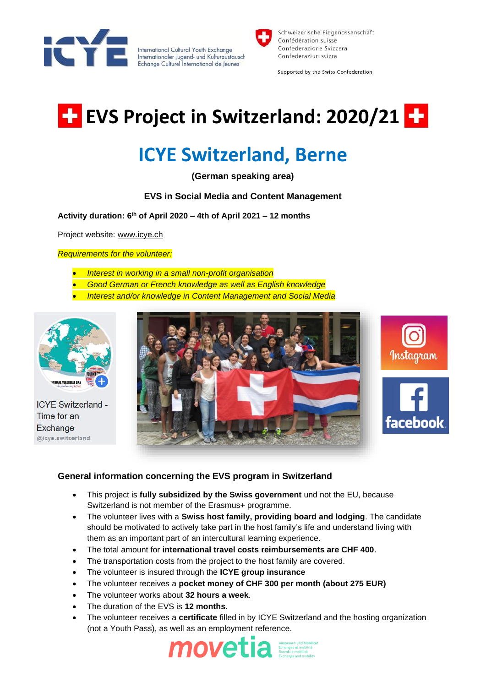

International Cultural Youth Exchange Internationaler Jugend- und Kulturaustausch Echange Culturel International de Jeunes



Schweizerische Eidgenossenschaft Confédération suisse Confederazione Svizzera Confederaziun svizra

Supported by the Swiss Confederation.

# **EVS Project in Switzerland: 2020/21 EP**

# **ICYE Switzerland, Berne**

**(German speaking area)**

## **EVS in Social Media and Content Management**

**Activity duration: 6th of April 2020 – 4th of April 2021 – 12 months** 

Project website: [www.icye.ch](http://www.icye.ch/)

*Requirements for the volunteer:* 

- *Interest in working in a small non-profit organisation*
- *Good German or French knowledge as well as English knowledge*
- *Interest and/or knowledge in Content Management and Social Media*



**ICYE Switzerland -**Time for an Exchange @icye.switzerland



### **General information concerning the EVS program in Switzerland**

- This project is **fully subsidized by the Swiss government** und not the EU, because Switzerland is not member of the Erasmus+ programme.
- The volunteer lives with a **Swiss host family, providing board and lodging**. The candidate should be motivated to actively take part in the host family's life and understand living with them as an important part of an intercultural learning experience.
- The total amount for **international travel costs reimbursements are CHF 400**.
- The transportation costs from the project to the host family are covered.
- The volunteer is insured through the **ICYE group insurance**
- The volunteer receives a **pocket money of CHF 300 per month (about 275 EUR)**
- The volunteer works about **32 hours a week**.
- The duration of the EVS is **12 months**.
- The volunteer receives a **certificate** filled in by ICYE Switzerland and the hosting organization (not a Youth Pass), as well as an employment reference.